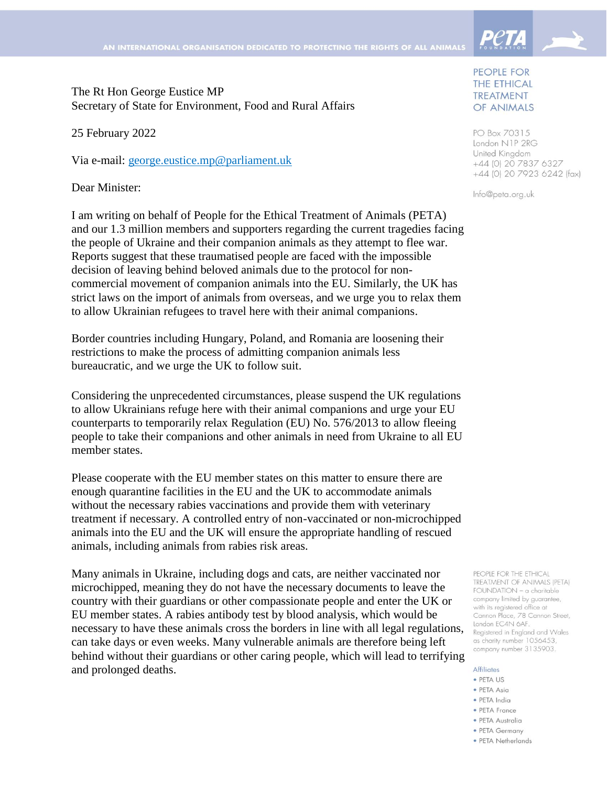

Secretary of State for Environment, Food and Rural Affairs

25 February 2022

Via e-mail: [george.eustice.mp@parliament.uk](mailto:george.eustice.mp@parliament.uk)

Dear Minister:

I am writing on behalf of People for the Ethical Treatment of Animals (PETA) and our 1.3 million members and supporters regarding the current tragedies facing the people of Ukraine and their companion animals as they attempt to flee war. Reports suggest that these traumatised people are faced with the impossible decision of leaving behind beloved animals due to the protocol for noncommercial movement of companion animals into the EU. Similarly, the UK has strict laws on the import of animals from overseas, and we urge you to relax them to allow Ukrainian refugees to travel here with their animal companions.

Border countries including Hungary, Poland, and Romania are loosening their restrictions to make the process of admitting companion animals less bureaucratic, and we urge the UK to follow suit.

Considering the unprecedented circumstances, please suspend the UK regulations to allow Ukrainians refuge here with their animal companions and urge your EU counterparts to temporarily relax Regulation (EU) No. 576/2013 to allow fleeing people to take their companions and other animals in need from Ukraine to all EU member states.

Please cooperate with the EU member states on this matter to ensure there are enough quarantine facilities in the EU and the UK to accommodate animals without the necessary rabies vaccinations and provide them with veterinary treatment if necessary. A controlled entry of non-vaccinated or non-microchipped animals into the EU and the UK will ensure the appropriate handling of rescued animals, including animals from rabies risk areas.

Many animals in Ukraine, including dogs and cats, are neither vaccinated nor microchipped, meaning they do not have the necessary documents to leave the country with their guardians or other compassionate people and enter the UK or EU member states. A rabies antibody test by blood analysis, which would be necessary to have these animals cross the borders in line with all legal regulations, can take days or even weeks. Many vulnerable animals are therefore being left behind without their guardians or other caring people, which will lead to terrifying and prolonged deaths.

## PEOPLE FOR THE ETHICAL **TREATMENT** OF ANIMALS

PO Box 70315 London N1P 2RG United Kingdom +44 (0) 20 7837 6327 +44 (0) 20 7923 6242 (fax)

Info@peta.org.uk

PEOPLE FOR THE ETHICAL **TREATMENT OF ANIMALS (PETA)** FOUNDATION - a charitable company limited by guarantee, with its registered office at Cannon Place, 78 Cannon Street, London EC4N 6AF. Registered in England and Wales as charity number 1056453. company number 3135903.

## **Affiliates**

- · PETA US
- · PETA Asia
- · PETA India
- PETA France
- · PETA Australia
- PETA Germany
- · PETA Netherlands